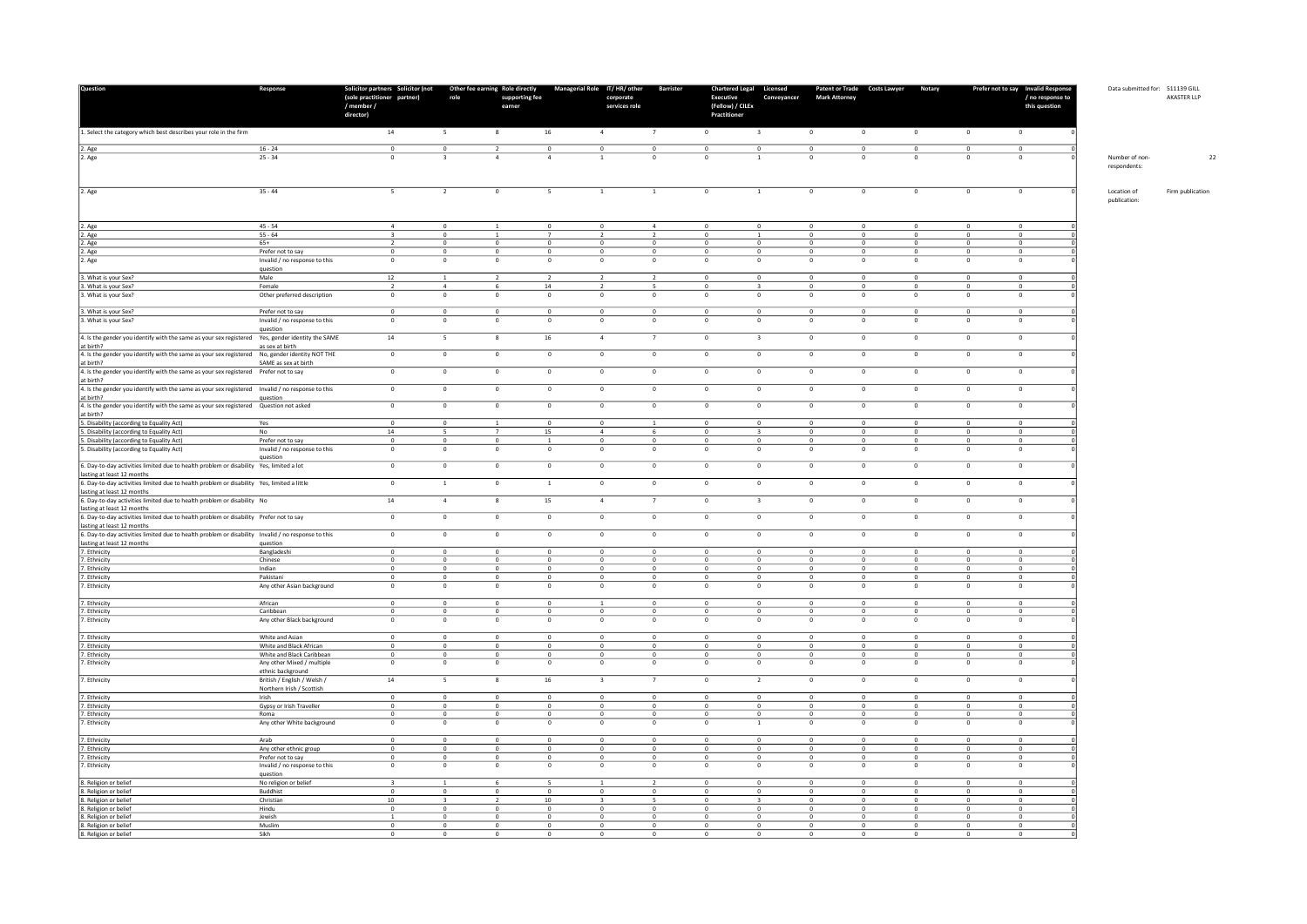| Question                                                                                                                                           | Response                                                       | Solicitor partners Solicitor (not Other fee earning Role directly<br>(sole practitioner partner)<br>/ member /<br>director) | role                          | supporting fee<br>earner       |                                           | Managerial Role IT/HR/ other Barrister<br>corporate<br>services role |                               | Chartered Legal Licensed<br><b>Executive</b><br>(Fellow) / CILEx<br>Practitioner | Conveyancer                             | <b>Mark Attorney</b>          | Patent or Trade Costs Lawyer  | Notary                    |                              | Prefer not to say Invalid Response<br>/ no response to<br>this question | Data submitted for: 511139 GILL | AKASTER LLP      |
|----------------------------------------------------------------------------------------------------------------------------------------------------|----------------------------------------------------------------|-----------------------------------------------------------------------------------------------------------------------------|-------------------------------|--------------------------------|-------------------------------------------|----------------------------------------------------------------------|-------------------------------|----------------------------------------------------------------------------------|-----------------------------------------|-------------------------------|-------------------------------|---------------------------|------------------------------|-------------------------------------------------------------------------|---------------------------------|------------------|
| 1. Select the category which best describes your role in the firm                                                                                  |                                                                | 14                                                                                                                          | $\overline{\phantom{a}}$      | 8                              | $16\,$                                    | $\overline{a}$                                                       | $\overline{7}$                | $\mathbf 0$                                                                      | $\overline{\mathbf{3}}$                 | $\,$ 0 $\,$                   | $\circ$                       | $\mathbf 0$               | $\,$ 0                       | $\mathbb O$                                                             |                                 |                  |
| 2. Age<br>$\sqrt{2}$ . Age                                                                                                                         | $16 - 24$<br>$25 - 34$                                         | $\circ$<br>$\circ$                                                                                                          | $\overline{0}$                | $\overline{2}$                 | $\circ$                                   | $\overline{0}$                                                       | $\circ$<br>$\circ$            | $\circ$                                                                          | $\circ$                                 | $\overline{0}$<br>$\circ$     | $\circ$                       | $\Omega$                  | $\circ$                      | $\overline{0}$<br>$\mathbf 0$                                           | Number of non-<br>respondents:  |                  |
| 2. Age                                                                                                                                             | $35 - 44$                                                      | 5                                                                                                                           | $\overline{2}$                | $\circ$                        | 5                                         | <sup>1</sup>                                                         | $\overline{1}$                | $\circ$                                                                          | <sup>1</sup>                            | $\overline{0}$                | $\circ$                       | $\circ$                   | $\overline{0}$               | $\circ$                                                                 | Location of<br>publication:     | Firm publication |
| 2. Age                                                                                                                                             | $45 - 54$                                                      | $\overline{4}$                                                                                                              | $\circ$                       |                                | $\overline{0}$                            | $\overline{0}$                                                       | $\overline{4}$                | $\circ$                                                                          | $\mathbf{0}$                            | $\overline{0}$                | $^{\circ}$                    | $^{\circ}$                | $\circ$                      | $\circ$                                                                 |                                 |                  |
| 2. Age                                                                                                                                             | $55 - 64$                                                      | $\mathbf{R}$                                                                                                                | $\Omega$                      | $\overline{1}$                 | $\overline{7}$                            | $\overline{z}$                                                       | $\overline{z}$                | $\Omega$                                                                         | $\overline{1}$                          | $\Omega$                      | $\Omega$                      | $\Omega$                  | $\Omega$                     | $\Omega$                                                                |                                 |                  |
| 2. Age                                                                                                                                             | $65+$                                                          | $\overline{2}$                                                                                                              | $\circ$                       | $\,$ 0                         | $\circ$                                   | $\circ$                                                              | $\circ$                       | $\circ$                                                                          | $\mathbf 0$                             | $\circ$                       | $\circ$                       | $\circ$                   | $\circ$                      | $\mathbf 0$                                                             |                                 |                  |
| 2. Age                                                                                                                                             | Prefer not to say                                              | $\circ$                                                                                                                     | $\circ$<br>$\mathsf{o}$       | $\circ$<br>$\overline{0}$      | $\overline{0}$                            | $\overline{0}$<br>$\,$ 0                                             | $\mathbf{0}$                  | $\circ$<br>$\mathbf 0$                                                           | $\circ$<br>$\mathbf 0$                  | $\overline{0}$                | $^{\circ}$                    | $^{\circ}$<br>$\mathbf 0$ | $\circ$                      | $\circ$<br>$\mathbb O$                                                  |                                 |                  |
| 2. Age                                                                                                                                             | Invalid / no response to this<br>question                      | $\mathbf 0$                                                                                                                 |                               |                                | $\,$ 0 $\,$                               |                                                                      | $\mathbf 0$                   |                                                                                  |                                         | $\mathbf 0$                   | $\mathbf 0$                   |                           | $\,0\,$                      |                                                                         |                                 |                  |
| 3. What is your Sex?                                                                                                                               | Male                                                           | 12                                                                                                                          | $\overline{1}$                | $\overline{\phantom{a}}$       | $\overline{z}$                            | $\overline{z}$                                                       | $\overline{z}$                | $\Omega$                                                                         | $\Omega$                                | $\Omega$                      | $\Omega$                      | $\Omega$                  | $\Omega$                     | $\Omega$                                                                |                                 |                  |
| 3. What is your Sex?                                                                                                                               | Female                                                         | $\overline{\phantom{a}}$                                                                                                    | $\overline{a}$                |                                | $14\,$                                    | $\overline{z}$                                                       |                               | $\mathbf 0$                                                                      |                                         | $\mathbf 0$                   | $\circ$                       |                           | $\mathbf 0$                  | $\bf 0$                                                                 |                                 |                  |
| 3. What is your Sex?                                                                                                                               | Other preferred description                                    | $\circ$                                                                                                                     | $\circ$                       | $\circ$                        | $\overline{\mathbf{0}}$                   | $\circ$                                                              | $\circ$                       | $\circ$                                                                          | $\mathbf{0}$                            | $\circ$                       | $^{\circ}$                    | $^{\circ}$                | $\circ$                      | $\circ$                                                                 |                                 |                  |
| 3. What is your Sex?<br>3. What is your Sex?                                                                                                       | Prefer not to say<br>Invalid / no response to this             | $\circ$<br>$\circ$                                                                                                          | $\mathsf{o}$<br>$\circ$       | $\mathbf 0$<br>$\circ$         | $\,$ 0 $\,$<br>$\overline{0}$             | $\mathbf 0$<br>$\overline{0}$                                        | $\circ$<br>$\circ$            | $\mathsf{o}$<br>$\mathbf 0$                                                      | $\mathbf 0$<br>$\circ$                  | $\mathbf 0$<br>$\overline{0}$ | $\mathbf 0$<br>$^{\circ}$     | $\mathbf 0$<br>$\Omega$   | $\mathbf 0$<br>$\circ$       | $\mathbf 0$<br>$\Omega$                                                 |                                 |                  |
| 4. Is the gender you identify with the same as your sex registered Yes, gender identity the SAME                                                   | question                                                       | 14                                                                                                                          | $5 -$                         | 8                              | 16                                        | $\sim$                                                               | 7                             | $\mathbf 0$                                                                      | $\overline{\mathbf{3}}$                 | $\circ$                       | $\mathbf 0$                   | $\circ$                   | $\mathbb O$                  | $\mathbf 0$                                                             |                                 |                  |
| at birth?<br>4. Is the gender you identify with the same as your sex registered No, gender identity NOT THE                                        | as sex at birth                                                | $\mathbf 0$                                                                                                                 | $\mathsf{o}$                  | $\,$ 0 $\,$                    | $\,$ 0 $\,$                               | $\circ$                                                              | $\circ$                       | $\mathbf 0$                                                                      | $\mathbf 0$                             | $\mathbf 0$                   | $\mathbf 0$                   | $\mathbf 0$               | $\mathbb O$                  | $\mathbf 0$                                                             |                                 |                  |
| at birth?<br>4. Is the gender you identify with the same as your sex registered Prefer not to say                                                  | SAME as sex at birth                                           | $\circ$                                                                                                                     | $\circ$                       | $\mathbf 0$                    | $\circ$                                   | $\circ$                                                              | $\circ$                       | $\circ$                                                                          | $\mathbf 0$                             | $\bullet$                     | $\circ$                       | $\circ$                   | $\bullet$                    | $\bullet$                                                               |                                 |                  |
| at birth?<br>4. Is the gender you identify with the same as your sex registered Invalid / no response to this                                      |                                                                | $\circ$                                                                                                                     | $\circ$                       | $\circ$                        | $\overline{0}$                            | $\overline{0}$                                                       | $\circ$                       | $\circ$                                                                          | $\circ$                                 | $\circ$                       | $\circ$                       | $\circ$                   | $\circ$                      | $\circ$                                                                 |                                 |                  |
| at birth?<br>4. Is the gender you identify with the same as your sex registered Question not asked                                                 | question                                                       | $\circ$                                                                                                                     | $\overline{0}$                | $\circ$                        | $\overline{0}$                            | $\overline{0}$                                                       | $\circ$                       | $\circ$                                                                          | $\mathbf{0}$                            | $\circ$                       | $\circ$                       | $\circ$                   | $\circ$                      | $\circ$                                                                 |                                 |                  |
| at birth?<br>5. Disability (according to Equality Act)<br>5. Disability (according to Equality Act)                                                | Yes<br>No                                                      | $\circ$<br>14                                                                                                               | $\,$ 0 $\,$<br>-5             | $\mathbf{1}$<br>$\overline{7}$ | $\overline{\mathbf{0}}$<br>15             | $\overline{0}$<br>$\overline{a}$                                     | $\mathbf{1}$<br>6             | $\circ$<br>$\circ$                                                               | $\mathbf{0}$<br>$\overline{\mathbf{3}}$ | $\mathbf 0$<br>$\overline{0}$ | $\circ$<br>$\circ$            | $\circ$<br>$\circ$        | $\overline{0}$<br>$\circ$    | $\overline{0}$<br>$\circ$                                               |                                 |                  |
| 5. Disability (according to Equality Act)                                                                                                          | Prefer not to say                                              | $\circ$                                                                                                                     | $\circ$                       | $\,$ 0 $\,$                    | $\,$ 1 $\,$                               | $\circ$                                                              | $\circ$                       | $\mathsf{o}$                                                                     | $\mathbb O$                             | $\circ$                       | $\circ$                       | $\circ$                   | $\mathbf 0$                  | $\mathbf 0$                                                             |                                 |                  |
| 5. Disability (according to Equality Act)                                                                                                          | Invalid / no response to this<br>question                      | $\circ$                                                                                                                     | $\circ$                       | $\circ$                        | $\overline{0}$                            | $\circ$                                                              | $\circ$                       | $^{\circ}$                                                                       | $\circ$                                 | $\overline{0}$                | $\circ$                       | $^{\circ}$                | $\overline{0}$               | $\circ$                                                                 |                                 |                  |
| 6. Day-to-day activities limited due to health problem or disability Yes, limited a lot<br>lasting at least 12 months                              |                                                                | $\,$ 0                                                                                                                      | $\mathbf 0$                   | $\circ$                        | $\,$ 0                                    | $\bullet$                                                            | $\mathbf 0$                   | $\,$ 0                                                                           | $\mathbf 0$                             | $\,$ 0                        | $\mathbf{0}$                  | $\circ$                   | $\,$ 0 $\,$                  | $\mathbf 0$                                                             |                                 |                  |
| 6. Day-to-day activities limited due to health problem or disability Yes, limited a little<br>lasting at least 12 months                           |                                                                | $\circ$                                                                                                                     | $\mathbf{1}$                  | $\mathbf 0$                    | $\mathbf{1}$                              | $\circ$                                                              | $\circ$                       | $\circ$                                                                          | $\circ$                                 | $\bullet$                     | $\circ$                       | $\circ$                   | $\circ$                      | $\bullet$                                                               |                                 |                  |
| 6. Day-to-day activities limited due to health problem or disability No                                                                            |                                                                | 14                                                                                                                          | $\sim$                        | 8                              | 15                                        | $\sim$                                                               | $\overline{7}$                | $\circ$                                                                          | $\overline{\mathbf{3}}$                 | $\circ$                       | $\overline{0}$                | $\circ$                   | $\circ$                      | $\Omega$                                                                |                                 |                  |
| lasting at least 12 months<br>6. Day-to-day activities limited due to health problem or disability Prefer not to say<br>lasting at least 12 months |                                                                | $\overline{0}$                                                                                                              | $\mathbf 0$                   | $\overline{0}$                 | $\mathbf 0$                               | $\overline{0}$                                                       | $\overline{0}$                | $\overline{0}$                                                                   | $\overline{0}$                          | $\mathbf 0$                   | $\mathbf 0$                   | $\mathbf 0$               | $\mathbf 0$                  | $\mathbb O$                                                             |                                 |                  |
| 6. Day-to-day activities limited due to health problem or disability Invalid / no response to this                                                 |                                                                | $\overline{0}$                                                                                                              | $\overline{\mathfrak{o}}$     | $\,$ 0 $\,$                    | $\overline{0}$                            | $\overline{0}$                                                       | $\overline{0}$                | $\overline{0}$                                                                   | $\mathbf 0$                             | $\overline{\mathbf{0}}$       | $\mathbf 0$                   | $\mathbf 0$               | $\overline{\mathbf{0}}$      | $\overline{0}$                                                          |                                 |                  |
| lasting at least 12 months<br>7. Ethnicity                                                                                                         | question                                                       |                                                                                                                             | $\circ$                       |                                |                                           | $\circ$                                                              | $\overline{0}$                |                                                                                  |                                         |                               |                               |                           |                              | $\overline{0}$                                                          |                                 |                  |
| 7. Ethnicity                                                                                                                                       | Bangladeshi<br>Chinese                                         | $\Omega$<br>$\mathbf{0}$                                                                                                    | $\circ$                       | $\Omega$<br>$\circ$            | $\overline{\mathbf{0}}$<br>$\overline{0}$ | $\overline{0}$                                                       | $\circ$                       | $\circ$<br>$\circ$                                                               | $\mathbf 0$<br>$\circ$                  | $\mathbf 0$<br>$\overline{0}$ | $\circ$<br>$^{\circ}$         | $\Omega$<br>$^{\circ}$    | $\overline{0}$<br>$^{\circ}$ | $\circ$                                                                 |                                 |                  |
| 7. Ethnicity                                                                                                                                       | Indian                                                         | $\circ$                                                                                                                     | $\circ$                       | $\Omega$                       | $\overline{0}$                            | $\overline{0}$                                                       | $\circ$                       | $\Omega$                                                                         | $\circ$                                 | $\overline{0}$                | $\sqrt{2}$                    | $\circ$                   | $\sim$                       | $\circ$                                                                 |                                 |                  |
| 7. Ethnicity                                                                                                                                       | Pakistani                                                      | $\Omega$                                                                                                                    | $\circ$                       | $\circ$                        | $\circ$                                   | $\mathfrak o$                                                        | $\overline{0}$                | $\mathbf 0$                                                                      | $\circ$                                 | $\mathbf 0$                   | $\circ$                       | $\Omega$                  | $\overline{0}$               | $\overline{0}$                                                          |                                 |                  |
| 7. Ethnicity                                                                                                                                       | Any other Asian background                                     | $\circ$                                                                                                                     | $\circ$                       | $\circ$                        | $\overline{0}$                            | $\circ$                                                              | $\circ$                       | $\circ$                                                                          | $\mathbf 0$                             | $\overline{0}$                | $\circ$                       | $^{\circ}$                | $\circ$                      | $\mathbf{0}$                                                            |                                 |                  |
| 7. Ethnicity                                                                                                                                       | African                                                        | $\mathbf{0}$                                                                                                                | $\circ$                       | $\circ$                        | $\overline{0}$                            |                                                                      | $\mathbf{0}$                  | $^{\circ}$                                                                       | $^{\circ}$                              | $\overline{0}$                | $^{\circ}$                    | $^{\circ}$                | $^{\circ}$                   | $^{\circ}$                                                              |                                 |                  |
| 7. Ethnicity<br>7. Ethnicity                                                                                                                       | Caribbean<br>Any other Black background                        | $\Omega$<br>$\mathbf 0$                                                                                                     | $\Omega$<br>$\mathbf 0$       | $\Omega$<br>$\circ$            | $\Omega$<br>$\overline{0}$                | $\Omega$<br>$\overline{0}$                                           | $\Omega$<br>$\mathsf{o}\,$    | $\Omega$<br>$\mathbf 0$                                                          | $\Omega$<br>$\circ$                     | $\Omega$<br>$\,$ 0            | $\Omega$<br>$\mathbf{0}$      | $\Omega$<br>$\mathbf 0$   | $\Omega$<br>$\mathbf 0$      | $\Omega$<br>$\pmb{0}$                                                   |                                 |                  |
|                                                                                                                                                    |                                                                | $\circ$                                                                                                                     |                               |                                |                                           |                                                                      |                               | $\mathsf{o}$                                                                     | $\mathbb O$                             |                               |                               | $\circ$                   |                              | $\mathbb O$                                                             |                                 |                  |
| 7. Ethnicity<br>7. Ethnicity                                                                                                                       | White and Asian<br>White and Black African                     | $\circ$                                                                                                                     | $\circ$<br>$\mathsf{o}$       | $\mathbf 0$<br>$\overline{0}$  | $\,$ 0 $\,$<br>$\circ$                    | $\circ$<br>$\circ$                                                   | $\circ$<br>$\mathbf 0$        | $\circ$                                                                          | $\mathbf{0}$                            | $\mathbf 0$<br>$\circ$        | $\mathbf 0$<br>$\circ$        | $\mathbf{0}$              | $\,0\,$<br>$\overline{0}$    | $\mathbf 0$                                                             |                                 |                  |
| 7. Ethnicity                                                                                                                                       | White and Black Caribbean                                      | $\Omega$                                                                                                                    | $\Omega$                      | $\Omega$                       | $\Omega$                                  | $\Omega$                                                             | $\Omega$                      | $\Omega$                                                                         | $\Omega$                                | $\Omega$                      | $\Omega$                      | $\Omega$                  | $\Omega$                     | $\Omega$                                                                |                                 |                  |
| 7. Ethnicity                                                                                                                                       | Any other Mixed / multiple<br>ethnic background                | $\circ$                                                                                                                     | $\mathbf 0$                   | $\,$ 0                         | $\,$ 0 $\,$                               | $\circ$                                                              | $\circ$                       | $\mathbf 0$                                                                      | $\mathbb O$                             | $\,$ 0 $\,$                   | $\circ$                       | $\mathbf 0$               | $\mathbf 0$                  | $\mathbf 0$                                                             |                                 |                  |
| 7. Ethnicity                                                                                                                                       | British / English / Welsh /<br>Northern Irish / Scottish       | $14\,$                                                                                                                      | $5 -$                         | 8                              | 16                                        | $\overline{\mathbf{3}}$                                              | $\overline{7}$                | $\circ$                                                                          | $\overline{2}$                          | $\circ$                       | $\circ$                       | $\circ$                   | $\circ$                      | $\circ$                                                                 |                                 |                  |
| 7. Ethnicity                                                                                                                                       | Irish                                                          | $\Omega$                                                                                                                    | $\Omega$                      | $\Omega$                       | $\Omega$                                  | $\Omega$                                                             | $\mathbf{0}$                  | $\Omega$                                                                         | $\Omega$                                | $\Omega$                      | $\Omega$                      | $\Omega$                  | $\Omega$                     | $\Omega$                                                                |                                 |                  |
| 7. Ethnicity                                                                                                                                       | Gypsy or Irish Traveller                                       | $\Omega$                                                                                                                    | $\circ$                       | $\Omega$                       | $\overline{\mathbf{0}}$                   | $\overline{0}$                                                       | $\circ$                       | $\Omega$                                                                         | $\circ$                                 | $\circ$                       | $\circ$                       | $\Omega$                  | $\Omega$                     | $\circ$                                                                 |                                 |                  |
| 7. Ethnicity                                                                                                                                       | Roma                                                           | $\circ$                                                                                                                     | $\mathbf 0$                   | $\mathbf 0$                    | $\,$ 0 $\,$                               | $\mathbf 0$                                                          | $\circ$                       | $\mathsf{o}$                                                                     | $\mathbf 0$                             | $\,$ 0 $\,$                   | $\mathbf 0$                   | $\circ$                   | $\mathbb O$                  | $\mathbf 0$                                                             |                                 |                  |
| 7. Ethnicity                                                                                                                                       | Any other White background                                     | $\circ$                                                                                                                     | $\Omega$                      | $\Omega$                       | $\Omega$                                  | $\Omega$                                                             | $\Omega$                      | $\Omega$                                                                         | $\mathbf{1}$                            | $\overline{0}$                | $\Omega$                      | $\Omega$                  | $\Omega$                     | $\Omega$                                                                |                                 |                  |
| 7. Ethnicity                                                                                                                                       | Arab                                                           | $\circ$<br>$\Omega$                                                                                                         | $\circ$<br>$\Omega$           | $\mathbf 0$<br>$\Omega$        | $\overline{0}$                            | $\overline{0}$                                                       | $\overline{0}$                | $\circ$<br>$\Omega$                                                              | $\circ$                                 | $\overline{0}$                | $\circ$                       | $^{\circ}$<br>$\Omega$    | $\circ$<br>$\Omega$          | $\mathbf{0}$<br>$\Omega$                                                |                                 |                  |
| 7. Ethnicity<br>7. Ethnicity                                                                                                                       | Any other ethnic group                                         | $\circ$                                                                                                                     | $\mathsf{o}$                  | $\mathbf 0$                    | $\overline{\mathbf{0}}$<br>$\,$ 0 $\,$    | $\overline{0}$<br>$\circ$                                            | $\circ$<br>$\circ$            | $\mathsf{o}$                                                                     | $\,$ 0<br>$\mathbf 0$                   | $\circ$<br>$\mathbf 0$        | $\circ$<br>$\mathbf 0$        | $\circ$                   | $\mathbf 0$                  | $\mathbf 0$                                                             |                                 |                  |
| 7. Ethnicity                                                                                                                                       | Prefer not to say<br>Invalid / no response to this<br>question | $\circ$                                                                                                                     | $\circ$                       | $\circ$                        | $\overline{0}$                            | $\circ$                                                              | $\circ$                       | $\mathbf 0$                                                                      | $\mathbf{0}$                            | $\overline{0}$                | $\circ$                       | $^{\circ}$                | $\overline{0}$               | $\circ$                                                                 |                                 |                  |
| 8. Religion or belief                                                                                                                              | No religion or belief                                          |                                                                                                                             |                               | 6                              | -5                                        |                                                                      |                               | $^{\circ}$                                                                       | $^{\circ}$                              | $^{\circ}$                    | $^{\circ}$                    | $\Omega$                  | $^{\circ}$                   | $\circ$                                                                 |                                 |                  |
| 8. Religion or belief                                                                                                                              | Buddhist                                                       | $\Omega$                                                                                                                    | $\Omega$                      | $\Omega$                       | $\Omega$                                  | $\Omega$                                                             | $\Omega$                      | $\Omega$                                                                         | $\sqrt{2}$                              | $\Omega$                      | $\sqrt{2}$                    | $\sqrt{2}$                | $\sqrt{2}$                   | $\Omega$                                                                |                                 |                  |
| 8. Religion or belief                                                                                                                              | Christian                                                      | $10\,$                                                                                                                      |                               |                                | $10\,$                                    | $\overline{\mathbf{3}}$                                              |                               | $\mathbf 0$                                                                      |                                         | $\,$ 0                        | $\mathbf 0$                   | $\mathbf{0}$              | $\mathbf 0$                  | $\bf 0$                                                                 |                                 |                  |
| 8. Religion or belief                                                                                                                              | Hindu                                                          | $\circ$                                                                                                                     | $\circ$                       | $\circ$                        | $\overline{0}$                            | $\overline{0}$                                                       | $\mathbf{0}$                  | $\circ$                                                                          | $\mathbf{0}$                            | $\overline{0}$                | $^{\circ}$                    | $^{\circ}$                | $^{\circ}$                   | $^{\circ}$                                                              |                                 |                  |
| 8. Religion or belief                                                                                                                              | Jewish<br>Muslim                                               | $\circ$                                                                                                                     | $\mathsf 0$<br>$\overline{0}$ | $\mathbf 0$<br>$\overline{0}$  | $\,$ 0 $\,$<br>$\overline{0}$             | $\circ$<br>$\overline{0}$                                            | $\mathbf 0$<br>$\overline{0}$ | $\mathsf{o}$<br>$\overline{0}$                                                   | $\mathbb O$<br>$\overline{0}$           | $\mathbf 0$<br>$\overline{0}$ | $\mathbf 0$<br>$\overline{0}$ | $\circ$<br>$\circ$        | $\circ$<br>$\overline{0}$    | $\mathbb O$<br>$\overline{0}$                                           |                                 |                  |
| 8. Religion or belief<br>8. Religion or belief                                                                                                     | Sikh                                                           | $\Omega$                                                                                                                    | $\Omega$                      | $\Omega$                       | $\overline{0}$                            | $^{\circ}$                                                           | $\circ$                       | $\Omega$                                                                         | $^{\circ}$                              | $\overline{0}$                | $^{\circ}$                    | $\Omega$                  | $\Omega$                     | $\Omega$                                                                |                                 |                  |

22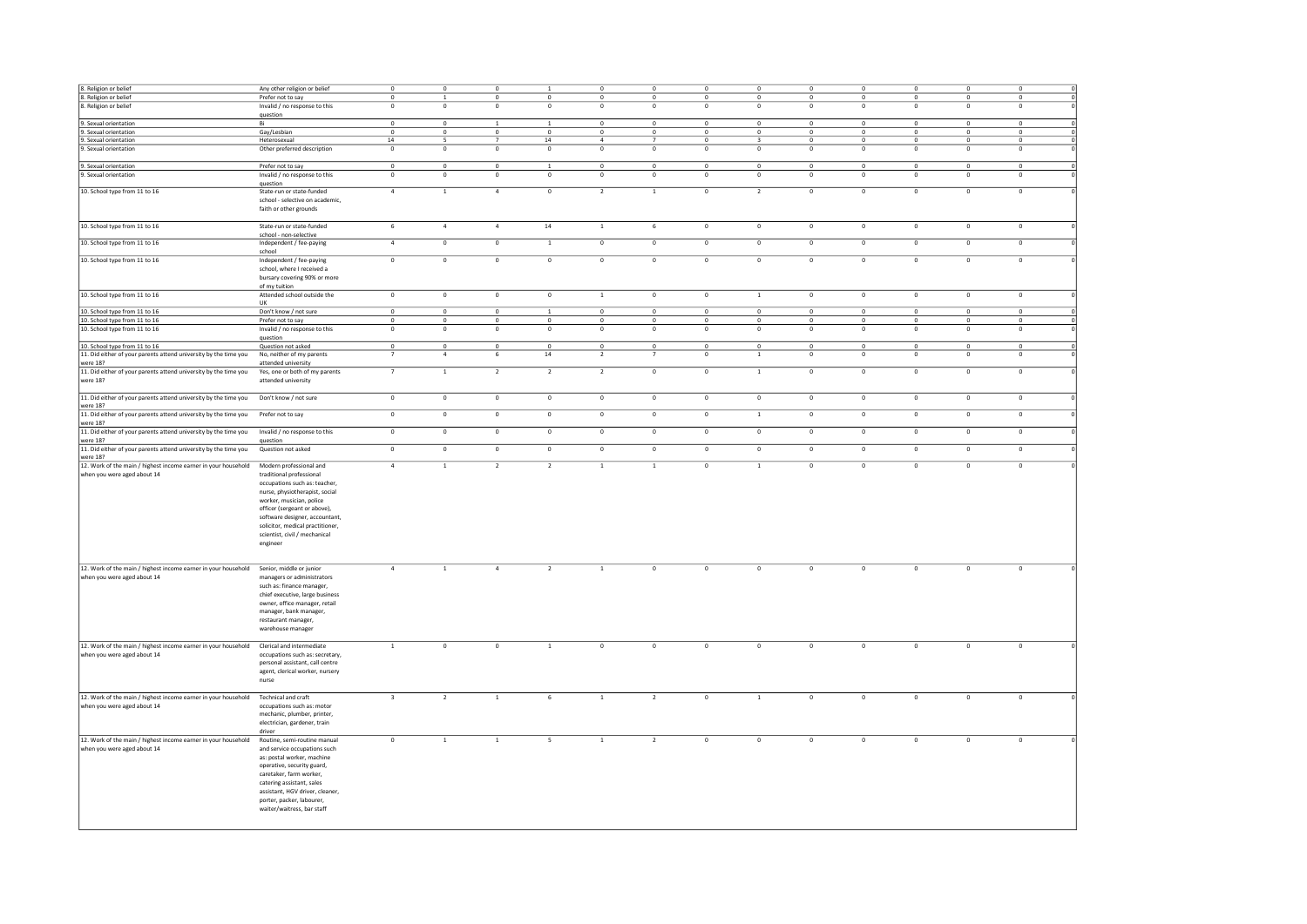| 8. Religion or belief                                                                   |                                  |                           |                         |                           |                |                |                         |                         |                         |                |                         |                         |                         |                          |  |
|-----------------------------------------------------------------------------------------|----------------------------------|---------------------------|-------------------------|---------------------------|----------------|----------------|-------------------------|-------------------------|-------------------------|----------------|-------------------------|-------------------------|-------------------------|--------------------------|--|
|                                                                                         | Any other religion or belief     | $\circ$                   | $\circ$                 | $\circ$                   |                | $\circ$        | $\overline{0}$          | $\circ$                 | $\circ$                 | $\Omega$       | $\mathbf 0$             | $\overline{0}$          | $\circ$                 | $\mathbf{0}$             |  |
| 8. Religion or belief                                                                   | Prefer not to say                | $\mathbf 0$               | $\,$ 1 $\,$             | $\,$ 0 $\,$               | $\,0\,$        | $\,0\,$        | $\mathbf 0$             | $\mathbf 0$             | $\mathbf 0$             | $\mathbf 0$    | $\mathbf 0$             | $\mathbf 0$             | $\mathbf 0$             | $\mathbf 0$              |  |
| 8. Religion or belief                                                                   | Invalid / no response to this    | $\circ$                   | $\circ$                 | $\overline{0}$            | $\circ$        | $\circ$        | $\overline{0}$          | $\mathbf 0$             | $\overline{0}$          | $\Omega$       | $\overline{0}$          | $\mathbf{0}$            | $\mathbf 0$             | $\mathbf 0$              |  |
|                                                                                         | question                         |                           |                         |                           |                |                |                         |                         |                         |                |                         |                         |                         |                          |  |
| 9. Sexual orientation                                                                   | Bi                               | $\mathbf 0$               | $\mathbf 0$             | $\mathbf{1}$              | 1              | $\mathbf 0$    | $\mathbf 0$             | $\mathbf 0$             | $\mathbf 0$             | $\circ$        | $\mathbf 0$             | $\mathbf 0$             | $\mathbf 0$             | $\mathbf 0$              |  |
| 9. Sexual orientation                                                                   | Gay/Lesbian                      | $\overline{0}$            | $\circ$                 | $\circ$                   | $\circ$        | $\circ$        | $\overline{0}$          | $\circ$                 | $\circ$                 | $\circ$        | $\circ$                 | $\overline{0}$          | $\circ$                 | $\circ$                  |  |
| 9. Sexual orientation                                                                   | Heterosexual                     | 14                        | 5                       | $\overline{7}$            | 14             | $\overline{4}$ | $\overline{7}$          | $\mathbf 0$             | 3                       | $\,$ 0         | $\mathbf 0$             | $\circ$                 | $\mathbf 0$             | $\mathbf 0$              |  |
| 9. Sexual orientation                                                                   | Other preferred description      | $\overline{0}$            | $\circ$                 | $\overline{0}$            | $\Omega$       | $\Omega$       | $\Omega$                | $\Omega$                | $\Omega$                | $\Omega$       | $\Omega$                | $\overline{0}$          | $\circ$                 | $\overline{0}$           |  |
|                                                                                         |                                  |                           |                         |                           |                |                |                         |                         |                         |                |                         |                         |                         |                          |  |
| 9. Sexual orientation                                                                   | Prefer not to say                | $\Omega$                  | $\circ$                 | $\Omega$                  | $\overline{1}$ | $\Omega$       | $\Omega$                | $\Omega$                | $\Omega$                | $\Omega$       | $\Omega$                | $\Omega$                | $\circ$                 | $\Omega$                 |  |
| 9. Sexual orientation                                                                   | Invalid / no response to this    | $\overline{0}$            | $\mathbf 0$             | $\,$ 0                    | $\circ$        | $\overline{0}$ | $\overline{0}$          | $\circ$                 | $\circ$                 | $\circ$        | $\circ$                 | $\circ$                 | $\mathbf 0$             | $\circ$                  |  |
|                                                                                         | question                         |                           |                         |                           |                |                |                         |                         |                         |                |                         |                         |                         |                          |  |
| 10. School type from 11 to 16                                                           | State-run or state-funded        | $\overline{a}$            | $\mathbf{1}$            | $\overline{4}$            | $\circ$        | $\overline{2}$ | $\mathbf{1}$            | $\mathbf 0$             | $\overline{2}$          | $\circ$        | $\mathbf{0}$            | $\circ$                 | $\mathbf 0$             | $\circ$                  |  |
|                                                                                         | school - selective on academic,  |                           |                         |                           |                |                |                         |                         |                         |                |                         |                         |                         |                          |  |
|                                                                                         | faith or other grounds           |                           |                         |                           |                |                |                         |                         |                         |                |                         |                         |                         |                          |  |
|                                                                                         |                                  |                           |                         |                           |                |                |                         |                         |                         |                |                         |                         |                         |                          |  |
| 10. School type from 11 to 16                                                           | State-run or state-funded        | 6                         | $\overline{4}$          | $\overline{4}$            | 14             | $\overline{1}$ | 6                       | $\mathbf 0$             | $\mathbf 0$             | $\mathbf 0$    | $\overline{\mathbf{0}}$ | $\overline{0}$          | $\overline{\mathbf{0}}$ | $\circ$                  |  |
|                                                                                         | school - non-selective           |                           |                         |                           |                |                |                         |                         |                         |                |                         |                         |                         |                          |  |
| 10. School type from 11 to 16                                                           | Independent / fee-paying         | $\overline{4}$            | $\overline{\mathbf{0}}$ | $\overline{\mathbf{0}}$   | $\,1\,$        | $\overline{0}$ | $\overline{0}$          | $\mathbf 0$             | $\overline{\mathbf{0}}$ | $\circ$        | $\overline{0}$          | $\overline{\mathbf{0}}$ | $\mathbf 0$             | $\overline{\phantom{0}}$ |  |
|                                                                                         | school                           |                           |                         |                           |                |                |                         |                         |                         |                |                         |                         |                         |                          |  |
| 10. School type from 11 to 16                                                           | Independent / fee-paying         | $\,$ 0 $\,$               | $\overline{0}$          | $\overline{0}$            | $\circ$        | $\overline{0}$ | $\mathbf 0$             | $\overline{\mathbf{0}}$ | $\overline{\mathbf{0}}$ | $\mathbf 0$    | $\mathbb O$             | $\mathbf 0$             | $\overline{\mathbf{0}}$ | $\overline{\mathbf{0}}$  |  |
|                                                                                         | school, where I received a       |                           |                         |                           |                |                |                         |                         |                         |                |                         |                         |                         |                          |  |
|                                                                                         | bursary covering 90% or more     |                           |                         |                           |                |                |                         |                         |                         |                |                         |                         |                         |                          |  |
|                                                                                         | of my tuition                    |                           |                         |                           |                |                |                         |                         |                         |                |                         |                         |                         |                          |  |
| 10. School type from 11 to 16                                                           | Attended school outside the      | $\circ$                   | $\mathsf{o}$            | $\circ$                   | $\circ$        | $\mathbf{1}$   | $\circ$                 | $\mathbf 0$             | $\mathbf{1}$            | $\mathbf 0$    | $\circ$                 | $\circ$                 | $\overline{0}$          | $\overline{0}$           |  |
|                                                                                         | <b>TIK</b>                       |                           |                         |                           |                |                |                         |                         |                         |                |                         |                         |                         |                          |  |
| 10. School type from 11 to 16                                                           | Don't know / not sure            | $\,0\,$                   | $\circ$                 | $\circ$                   |                | $\mathbf 0$    | $\,0\,$                 | $\,0\,$                 | $\circ$                 | $\mathbf 0$    | $\bf 0$                 | $\,0\,$                 | $\mathbf 0$             | $\,0\,$                  |  |
| 10. School type from 11 to 16                                                           | Prefer not to say                | $\Omega$                  | $\Omega$                | $\Omega$                  | $\Omega$       | $\Omega$       | $\Omega$                | $\Omega$                | $\Omega$                | $\Omega$       | $\Omega$                | $\Omega$                | $\Omega$                | $\Omega$                 |  |
| 10. School type from 11 to 16                                                           | Invalid / no response to this    | $\mathfrak o$             | $\mathfrak o$           | $\mathfrak o$             | $\circ$        | $\circ$        | $\mathfrak o$           | $\mathbf 0$             | $\overline{0}$          | $\mathbf 0$    | $\overline{0}$          | $\mathbf 0$             | $\mathbf 0$             | $\overline{0}$           |  |
|                                                                                         | question                         |                           |                         |                           |                |                |                         |                         |                         |                |                         |                         |                         |                          |  |
| 10. School type from 11 to 16                                                           | Question not asked               | $\,$ 0 $\,$               | $\mathbf 0$             | $\mathbf 0$               | $\mathbf 0$    | $\mathbf 0$    | $\mathbf 0$             | $\mathbf 0$             | $\mathbf 0$             | $\mathbf 0$    | $\pmb{0}$               | $\mathbf 0$             | $\mathbf 0$             | $\circ$                  |  |
| 11. Did either of your parents attend university by the time you                        | No, neither of my parents        | $\overline{7}$            | $\overline{4}$          | 6                         | $14\,$         | $\overline{2}$ | $\overline{7}$          | $\mathbf 0$             | $\mathbf{1}$            | $^{\circ}$     | $\overline{0}$          | $\overline{0}$          | $\mathbf 0$             | $\circ$                  |  |
| were 18?                                                                                | attended university              |                           |                         |                           |                |                |                         |                         |                         |                |                         |                         |                         |                          |  |
| 11. Did either of your parents attend university by the time you                        | Yes, one or both of my parents   | $\overline{7}$            | $\,1\,$                 | $\overline{2}$            | $\overline{2}$ | $\overline{2}$ | $\overline{0}$          | $\overline{\mathbf{0}}$ | $\,$ 1 $\,$             | $\mathbf 0$    | $\mathbf 0$             | $\mathbf 0$             | $\mathbf 0$             | $\overline{\mathbf{0}}$  |  |
| were 18?                                                                                | attended university              |                           |                         |                           |                |                |                         |                         |                         |                |                         |                         |                         |                          |  |
|                                                                                         |                                  |                           |                         |                           |                |                |                         |                         |                         |                |                         |                         |                         |                          |  |
| 11. Did either of your parents attend university by the time you                        | Don't know / not sure            | $\,$ 0 $\,$               | $\circ$                 | $\circ$                   | $\Omega$       | $\Omega$       | $\mathbf 0$             | $\mathbf 0$             | $\mathbf 0$             | $\Omega$       | $\theta$                | $\circ$                 | $\mathbf 0$             | $\circ$                  |  |
| were 18?                                                                                |                                  |                           |                         |                           |                |                |                         |                         |                         |                |                         |                         |                         |                          |  |
| 11. Did either of your parents attend university by the time you                        | Prefer not to say                | $\circ$                   | $\mathsf{o}$            | $\circ$                   | $\circ$        | $\circ$        | $\circ$                 | $\mathsf{o}$            | $\mathbf{1}$            | $\circ$        | $\circ$                 | $\mathbf 0$             | $\mathbf 0$             | $\circ$                  |  |
| were 18?                                                                                |                                  |                           |                         |                           |                |                |                         |                         |                         |                |                         |                         |                         |                          |  |
| 11. Did either of your parents attend university by the time you                        | Invalid / no response to this    | $\circ$                   | $\mathsf{o}$            | $\circ$                   | $\circ$        | $\mathsf{o}$   | $\circ$                 | $\mathbf 0$             | $\circ$                 | $^{\circ}$     | $\circ$                 | $\circ$                 | $\mathbf 0$             | $\circ$                  |  |
| were 18?                                                                                | question                         |                           |                         |                           |                |                |                         |                         |                         |                |                         |                         |                         |                          |  |
| 11. Did either of your parents attend university by the time you                        | Question not asked               | $\overline{0}$            | $\overline{0}$          | $\overline{\mathfrak{o}}$ | $\overline{0}$ | $\overline{0}$ | $\overline{0}$          | $\overline{0}$          | $\overline{\mathbf{0}}$ | $\overline{0}$ | $\overline{0}$          | $\overline{\mathbf{0}}$ | $\overline{0}$          | $\overline{0}$           |  |
| were 18?                                                                                |                                  |                           |                         |                           |                |                |                         |                         |                         |                |                         |                         |                         |                          |  |
| 12. Work of the main / highest income earner in your household                          | Modern professional and          | $\overline{4}$            | $\mathbf 1$             | $\overline{2}$            | $\overline{2}$ | $\overline{1}$ | $\overline{1}$          | $\overline{\mathbf{0}}$ | $\overline{1}$          | $\overline{0}$ | $\overline{\mathbf{0}}$ | $\overline{\mathbf{0}}$ | $\mathbf 0$             | $\overline{\mathbf{0}}$  |  |
| when you were aged about 14                                                             | traditional professional         |                           |                         |                           |                |                |                         |                         |                         |                |                         |                         |                         |                          |  |
|                                                                                         | occupations such as: teacher,    |                           |                         |                           |                |                |                         |                         |                         |                |                         |                         |                         |                          |  |
|                                                                                         | nurse, physiotherapist, social   |                           |                         |                           |                |                |                         |                         |                         |                |                         |                         |                         |                          |  |
|                                                                                         | worker, musician, police         |                           |                         |                           |                |                |                         |                         |                         |                |                         |                         |                         |                          |  |
|                                                                                         | officer (sergeant or above),     |                           |                         |                           |                |                |                         |                         |                         |                |                         |                         |                         |                          |  |
|                                                                                         | software designer, accountant,   |                           |                         |                           |                |                |                         |                         |                         |                |                         |                         |                         |                          |  |
|                                                                                         | solicitor, medical practitioner, |                           |                         |                           |                |                |                         |                         |                         |                |                         |                         |                         |                          |  |
|                                                                                         |                                  |                           |                         |                           |                |                |                         |                         |                         |                |                         |                         |                         |                          |  |
|                                                                                         |                                  |                           |                         |                           |                |                |                         |                         |                         |                |                         |                         |                         |                          |  |
|                                                                                         | scientist, civil / mechanical    |                           |                         |                           |                |                |                         |                         |                         |                |                         |                         |                         |                          |  |
|                                                                                         | engineer                         |                           |                         |                           |                |                |                         |                         |                         |                |                         |                         |                         |                          |  |
|                                                                                         |                                  |                           |                         |                           |                |                |                         |                         |                         |                |                         |                         |                         |                          |  |
|                                                                                         |                                  |                           |                         |                           |                |                |                         |                         |                         |                |                         |                         |                         |                          |  |
| 12. Work of the main / highest income earner in your household Senior, middle or junior |                                  | $\overline{4}$            | $\overline{1}$          | $\overline{a}$            | $\overline{2}$ | $\mathbf{1}$   | $\mathbf{0}$            | $\Omega$                | $\overline{0}$          | $\Omega$       | $\Omega$                | $\Omega$                | $\Omega$                | $\overline{0}$           |  |
| when you were aged about 14                                                             | managers or administrators       |                           |                         |                           |                |                |                         |                         |                         |                |                         |                         |                         |                          |  |
|                                                                                         | such as: finance manager,        |                           |                         |                           |                |                |                         |                         |                         |                |                         |                         |                         |                          |  |
|                                                                                         | chief executive, large business  |                           |                         |                           |                |                |                         |                         |                         |                |                         |                         |                         |                          |  |
|                                                                                         | owner, office manager, retail    |                           |                         |                           |                |                |                         |                         |                         |                |                         |                         |                         |                          |  |
|                                                                                         | manager, bank manager,           |                           |                         |                           |                |                |                         |                         |                         |                |                         |                         |                         |                          |  |
|                                                                                         | restaurant manager,              |                           |                         |                           |                |                |                         |                         |                         |                |                         |                         |                         |                          |  |
|                                                                                         | warehouse manager                |                           |                         |                           |                |                |                         |                         |                         |                |                         |                         |                         |                          |  |
|                                                                                         |                                  |                           |                         |                           |                |                |                         |                         |                         |                |                         |                         |                         |                          |  |
| 12. Work of the main / highest income earner in your household                          | Clerical and intermediate        | 1                         | $\mathbf 0$             | $\circ$                   | $\mathbf{1}$   | $\overline{0}$ | $\overline{\mathbf{0}}$ | $\circ$                 | $\overline{\mathbf{0}}$ | $\Omega$       | $\Omega$                | $\Omega$                | $\Omega$                | $\mathbf 0$              |  |
| when you were aged about 14                                                             | occupations such as: secretary,  |                           |                         |                           |                |                |                         |                         |                         |                |                         |                         |                         |                          |  |
|                                                                                         | personal assistant, call centre  |                           |                         |                           |                |                |                         |                         |                         |                |                         |                         |                         |                          |  |
|                                                                                         | agent, clerical worker, nursery  |                           |                         |                           |                |                |                         |                         |                         |                |                         |                         |                         |                          |  |
|                                                                                         | nurse                            |                           |                         |                           |                |                |                         |                         |                         |                |                         |                         |                         |                          |  |
|                                                                                         |                                  |                           |                         |                           |                |                |                         |                         |                         |                |                         |                         |                         |                          |  |
| 12. Work of the main / highest income earner in your household                          | Technical and craft              | $\overline{\phantom{a}3}$ | $\overline{2}$          | $\overline{1}$            | 6              | $\overline{1}$ | $\overline{2}$          | $\overline{0}$          | $\overline{1}$          | $\mathbf 0$    | $\overline{0}$          | $\mathbf 0$             | $\overline{0}$          | $\overline{0}$           |  |
| when you were aged about 14                                                             | occupations such as: motor       |                           |                         |                           |                |                |                         |                         |                         |                |                         |                         |                         |                          |  |
|                                                                                         | mechanic, plumber, printer,      |                           |                         |                           |                |                |                         |                         |                         |                |                         |                         |                         |                          |  |
|                                                                                         | electrician, gardener, train     |                           |                         |                           |                |                |                         |                         |                         |                |                         |                         |                         |                          |  |
|                                                                                         | driver                           |                           |                         |                           |                |                |                         |                         |                         |                |                         |                         |                         |                          |  |
| 12. Work of the main / highest income earner in your household                          | Routine, semi-routine manual     | $\mathbf 0$               | $\mathbf{1}$            | $1\,$                     | 5              | $\mathbf{1}$   | $\overline{2}$          | $\mathbf{0}$            | $\mathbf{0}$            | $^{\circ}$     | $\mathbf 0$             | $\mathbf{0}$            | $\mathbf{0}$            | $\circ$                  |  |
| when you were aged about 14                                                             | and service occupations such     |                           |                         |                           |                |                |                         |                         |                         |                |                         |                         |                         |                          |  |
|                                                                                         | as: postal worker, machine       |                           |                         |                           |                |                |                         |                         |                         |                |                         |                         |                         |                          |  |
|                                                                                         | operative, security guard,       |                           |                         |                           |                |                |                         |                         |                         |                |                         |                         |                         |                          |  |
|                                                                                         | caretaker, farm worker,          |                           |                         |                           |                |                |                         |                         |                         |                |                         |                         |                         |                          |  |
|                                                                                         | catering assistant, sales        |                           |                         |                           |                |                |                         |                         |                         |                |                         |                         |                         |                          |  |
|                                                                                         | assistant, HGV driver, cleaner,  |                           |                         |                           |                |                |                         |                         |                         |                |                         |                         |                         |                          |  |
|                                                                                         | porter, packer, labourer,        |                           |                         |                           |                |                |                         |                         |                         |                |                         |                         |                         |                          |  |
|                                                                                         | waiter/waitress, bar staff       |                           |                         |                           |                |                |                         |                         |                         |                |                         |                         |                         |                          |  |